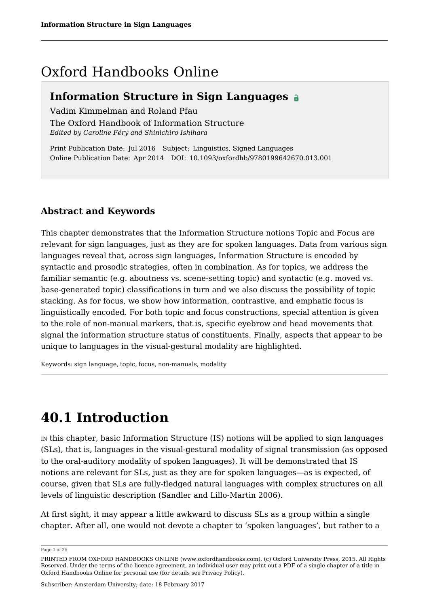# Oxford Handbooks Online

### **Information Structure in Sign Languages**

Vadim Kimmelman and Roland Pfau The Oxford Handbook of Information Structure *Edited by Caroline Féry and Shinichiro Ishihara*

Print Publication Date: Jul 2016 Subject: Linguistics, Signed Languages Online Publication Date: Apr 2014 DOI: 10.1093/oxfordhb/9780199642670.013.001

### **Abstract and Keywords**

This chapter demonstrates that the Information Structure notions Topic and Focus are relevant for sign languages, just as they are for spoken languages. Data from various sign languages reveal that, across sign languages, Information Structure is encoded by syntactic and prosodic strategies, often in combination. As for topics, we address the familiar semantic (e.g. aboutness vs. scene-setting topic) and syntactic (e.g. moved vs. base-generated topic) classifications in turn and we also discuss the possibility of topic stacking. As for focus, we show how information, contrastive, and emphatic focus is linguistically encoded. For both topic and focus constructions, special attention is given to the role of non-manual markers, that is, specific eyebrow and head movements that signal the information structure status of constituents. Finally, aspects that appear to be unique to languages in the visual-gestural modality are highlighted.

Keywords: sign language, topic, focus, non-manuals, modality

# **40.1 Introduction**

IN this chapter, basic Information Structure (IS) notions will be applied to sign languages (SLs), that is, languages in the visual-gestural modality of signal transmission (as opposed to the oral-auditory modality of spoken languages). It will be demonstrated that IS notions are relevant for SLs, just as they are for spoken languages—as is expected, of course, given that SLs are fully-fledged natural languages with complex structures on all levels of linguistic description (Sandler and Lillo-Martin 2006).

At first sight, it may appear a little awkward to discuss SLs as a group within a single chapter. After all, one would not devote a chapter to 'spoken languages', but rather to a

Page 1 of 25

PRINTED FROM OXFORD HANDBOOKS ONLINE (www.oxfordhandbooks.com). (c) Oxford University Press, 2015. All Rights Reserved. Under the terms of the licence agreement, an individual user may print out a PDF of a single chapter of a title in Oxford Handbooks Online for personal use (for details see Privacy Policy).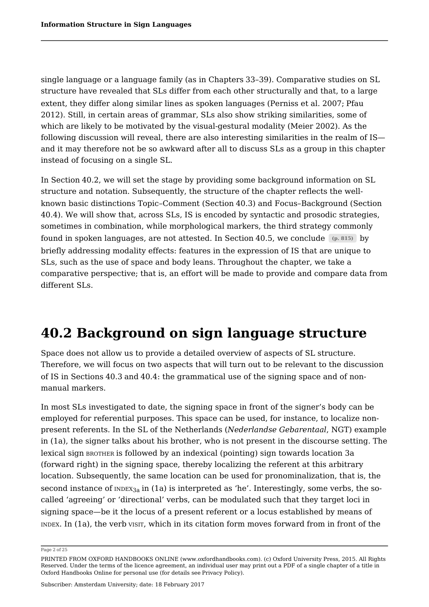single language or a language family (as in Chapters 33–39). Comparative studies on SL structure have revealed that SLs differ from each other structurally and that, to a large extent, they differ along similar lines as spoken languages (Perniss et al. 2007; Pfau 2012). Still, in certain areas of grammar, SLs also show striking similarities, some of which are likely to be motivated by the visual-gestural modality (Meier 2002). As the following discussion will reveal, there are also interesting similarities in the realm of IS and it may therefore not be so awkward after all to discuss SLs as a group in this chapter instead of focusing on a single SL.

In Section 40.2, we will set the stage by providing some background information on SL structure and notation. Subsequently, the structure of the chapter reflects the wellknown basic distinctions Topic–Comment (Section 40.3) and Focus–Background (Section 40.4). We will show that, across SLs, IS is encoded by syntactic and prosodic strategies, sometimes in combination, while morphological markers, the third strategy commonly found in spoken languages, are not attested. In Section 40.5, we conclude **(p. 815)** by briefly addressing modality effects: features in the expression of IS that are unique to SLs, such as the use of space and body leans. Throughout the chapter, we take a comparative perspective; that is, an effort will be made to provide and compare data from different SLs.

# **40.2 Background on sign language structure**

Space does not allow us to provide a detailed overview of aspects of SL structure. Therefore, we will focus on two aspects that will turn out to be relevant to the discussion of IS in Sections 40.3 and 40.4: the grammatical use of the signing space and of nonmanual markers.

In most SLs investigated to date, the signing space in front of the signer's body can be employed for referential purposes. This space can be used, for instance, to localize nonpresent referents. In the SL of the Netherlands (*Nederlandse Gebarentaal*, NGT) example in (1a), the signer talks about his brother, who is not present in the discourse setting. The lexical sign BROTHER is followed by an indexical (pointing) sign towards location 3a (forward right) in the signing space, thereby localizing the referent at this arbitrary location. Subsequently, the same location can be used for pronominalization, that is, the second instance of  $\textsc{in}\textsc{ex}_{3\text{a}}$  in (1a) is interpreted as 'he'. Interestingly, some verbs, the socalled 'agreeing' or 'directional' verbs, can be modulated such that they target loci in signing space—be it the locus of a present referent or a locus established by means of INDEX. In (1a), the verb VISIT, which in its citation form moves forward from in front of the

Page 2 of 25

PRINTED FROM OXFORD HANDBOOKS ONLINE (www.oxfordhandbooks.com). (c) Oxford University Press, 2015. All Rights Reserved. Under the terms of the licence agreement, an individual user may print out a PDF of a single chapter of a title in Oxford Handbooks Online for personal use (for details see Privacy Policy).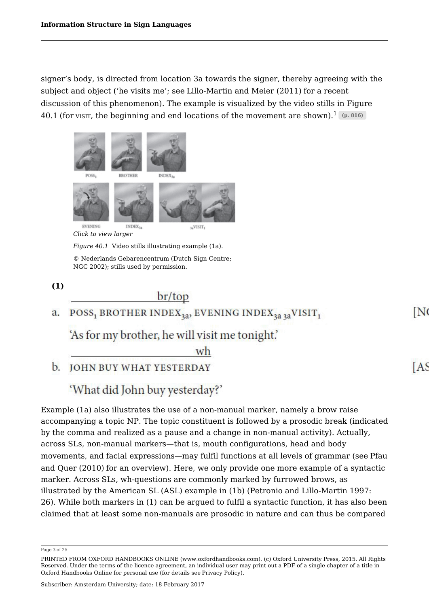signer's body, is directed from location 3a towards the signer, thereby agreeing with the subject and object ('he visits me'; see Lillo-Martin and Meier (2011) for a recent discussion of this phenomenon). The example is visualized by the video stills in Figure  $40.1$  (for visit, the beginning and end locations of the movement are shown). $^{1}$  (p. 816)



POSS<sub>1</sub> BROTHER INDEX<sub>3a</sub>, EVENING INDEX<sub>3a 3a</sub>VISIT<sub>1</sub> a.

'As for my brother, he will visit me tonight.'

wh

b. JOHN BUY WHAT YESTERDAY

'What did John buy yesterday?'

Example (1a) also illustrates the use of a non-manual marker, namely a brow raise accompanying a topic NP. The topic constituent is followed by a prosodic break (indicated by the comma and realized as a pause and a change in non-manual activity). Actually, across SLs, non-manual markers—that is, mouth configurations, head and body movements, and facial expressions—may fulfil functions at all levels of grammar (see Pfau and Quer (2010) for an overview). Here, we only provide one more example of a syntactic marker. Across SLs, wh-questions are commonly marked by furrowed brows, as illustrated by the American SL (ASL) example in (1b) (Petronio and Lillo-Martin 1997: 26). While both markers in (1) can be argued to fulfil a syntactic function, it has also been claimed that at least some non-manuals are prosodic in nature and can thus be compared

A.S

IN0

Page 3 of 25

PRINTED FROM OXFORD HANDBOOKS ONLINE (www.oxfordhandbooks.com). (c) Oxford University Press, 2015. All Rights Reserved. Under the terms of the licence agreement, an individual user may print out a PDF of a single chapter of a title in Oxford Handbooks Online for personal use (for details see Privacy Policy).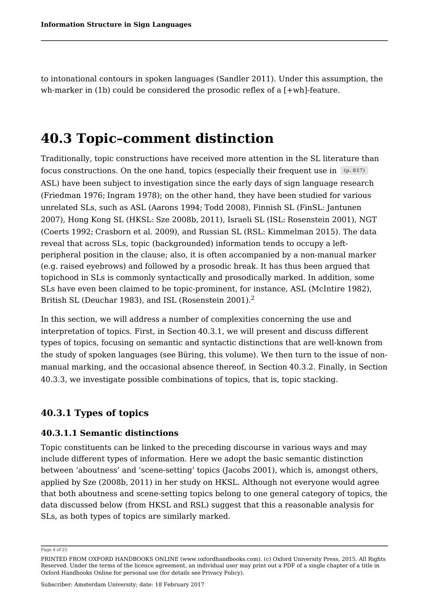to intonational contours in spoken languages (Sandler 2011). Under this assumption, the wh-marker in (1b) could be considered the prosodic reflex of a [+wh]-feature.

# **40.3 Topic–comment distinction**

Traditionally, topic constructions have received more attention in the SL literature than focus constructions. On the one hand, topics (especially their frequent use in **(p. 817)** ASL) have been subject to investigation since the early days of sign language research (Friedman 1976; Ingram 1978); on the other hand, they have been studied for various unrelated SLs, such as ASL (Aarons 1994; Todd 2008), Finnish SL (FinSL: Jantunen 2007), Hong Kong SL (HKSL: Sze 2008b, 2011), Israeli SL (ISL: Rosenstein 2001), NGT (Coerts 1992; Crasborn et al. 2009), and Russian SL (RSL: Kimmelman 2015). The data reveal that across SLs, topic (backgrounded) information tends to occupy a leftperipheral position in the clause; also, it is often accompanied by a non-manual marker (e.g. raised eyebrows) and followed by a prosodic break. It has thus been argued that topichood in SLs is commonly syntactically and prosodically marked. In addition, some SLs have even been claimed to be topic-prominent, for instance, ASL (McIntire 1982), British SL (Deuchar 1983), and ISL (Rosenstein 2001). $^2$ 

In this section, we will address a number of complexities concerning the use and interpretation of topics. First, in Section 40.3.1, we will present and discuss different types of topics, focusing on semantic and syntactic distinctions that are well-known from the study of spoken languages (see Büring, this volume). We then turn to the issue of nonmanual marking, and the occasional absence thereof, in Section 40.3.2. Finally, in Section 40.3.3, we investigate possible combinations of topics, that is, topic stacking.

### **40.3.1 Types of topics**

#### **40.3.1.1 Semantic distinctions**

Topic constituents can be linked to the preceding discourse in various ways and may include different types of information. Here we adopt the basic semantic distinction between 'aboutness' and 'scene-setting' topics (Jacobs 2001), which is, amongst others, applied by Sze (2008b, 2011) in her study on HKSL. Although not everyone would agree that both aboutness and scene-setting topics belong to one general category of topics, the data discussed below (from HKSL and RSL) suggest that this a reasonable analysis for SLs, as both types of topics are similarly marked.

Page 4 of 25

PRINTED FROM OXFORD HANDBOOKS ONLINE (www.oxfordhandbooks.com). (c) Oxford University Press, 2015. All Rights Reserved. Under the terms of the licence agreement, an individual user may print out a PDF of a single chapter of a title in Oxford Handbooks Online for personal use (for details see Privacy Policy).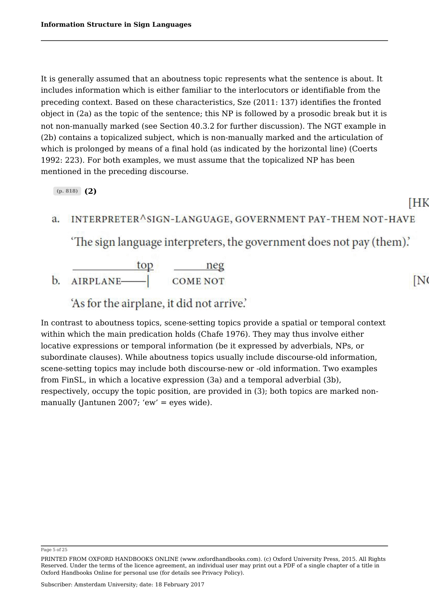It is generally assumed that an aboutness topic represents what the sentence is about. It includes information which is either familiar to the interlocutors or identifiable from the preceding context. Based on these characteristics, Sze (2011: 137) identifies the fronted object in (2a) as the topic of the sentence; this NP is followed by a prosodic break but it is not non-manually marked (see Section 40.3.2 for further discussion). The NGT example in (2b) contains a topicalized subject, which is non-manually marked and the articulation of which is prolonged by means of a final hold (as indicated by the horizontal line) (Coerts 1992: 223). For both examples, we must assume that the topicalized NP has been mentioned in the preceding discourse.

**(p. 818) (2)**

IHK

[N

#### a. INTERPRETER^SIGN-LANGUAGE, GOVERNMENT PAY-THEM NOT-HAVE

'The sign language interpreters, the government does not pay (them).'

|   | ton       |                 |
|---|-----------|-----------------|
| b | AIRPLANE- | <b>COME NOT</b> |

'As for the airplane, it did not arrive.'

In contrast to aboutness topics, scene-setting topics provide a spatial or temporal context within which the main predication holds (Chafe 1976). They may thus involve either locative expressions or temporal information (be it expressed by adverbials, NPs, or subordinate clauses). While aboutness topics usually include discourse-old information, scene-setting topics may include both discourse-new or -old information. Two examples from FinSL, in which a locative expression (3a) and a temporal adverbial (3b), respectively, occupy the topic position, are provided in (3); both topics are marked nonmanually (Jantunen 2007; 'ew' = eyes wide).

Page 5 of 25

PRINTED FROM OXFORD HANDBOOKS ONLINE (www.oxfordhandbooks.com). (c) Oxford University Press, 2015. All Rights Reserved. Under the terms of the licence agreement, an individual user may print out a PDF of a single chapter of a title in Oxford Handbooks Online for personal use (for details see Privacy Policy).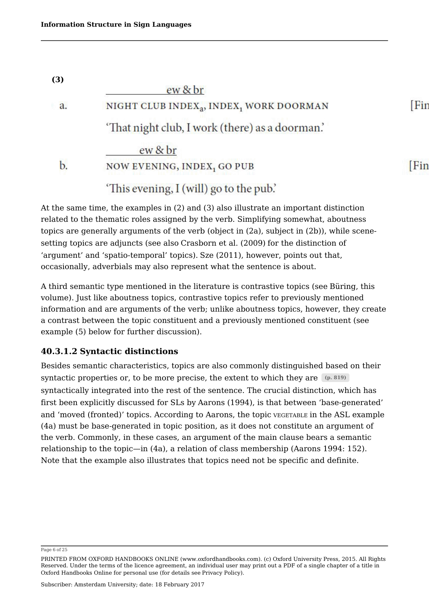| <b>(3)</b> | ew & br                                                         |      |
|------------|-----------------------------------------------------------------|------|
| a.         | NIGHT CLUB INDEX <sub>3</sub> , INDEX <sub>1</sub> WORK DOORMAN | Fin  |
|            | 'That night club, I work (there) as a doorman.'                 |      |
|            | $ew & b$ r                                                      |      |
|            | NOW EVENING, INDEX, GO PUB                                      | [Fin |
|            | 'This evening, I (will) go to the pub.'                         |      |

At the same time, the examples in (2) and (3) also illustrate an important distinction related to the thematic roles assigned by the verb. Simplifying somewhat, aboutness topics are generally arguments of the verb (object in (2a), subject in (2b)), while scenesetting topics are adjuncts (see also Crasborn et al. (2009) for the distinction of 'argument' and 'spatio-temporal' topics). Sze (2011), however, points out that, occasionally, adverbials may also represent what the sentence is about.

A third semantic type mentioned in the literature is contrastive topics (see Büring, this volume). Just like aboutness topics, contrastive topics refer to previously mentioned information and are arguments of the verb; unlike aboutness topics, however, they create a contrast between the topic constituent and a previously mentioned constituent (see example (5) below for further discussion).

#### **40.3.1.2 Syntactic distinctions**

Besides semantic characteristics, topics are also commonly distinguished based on their syntactic properties or, to be more precise, the extent to which they are  $(p. 819)$ syntactically integrated into the rest of the sentence. The crucial distinction, which has first been explicitly discussed for SLs by Aarons (1994), is that between 'base-generated' and 'moved (fronted)' topics. According to Aarons, the topic VEGETABLE in the ASL example (4a) must be base-generated in topic position, as it does not constitute an argument of the verb. Commonly, in these cases, an argument of the main clause bears a semantic relationship to the topic—in (4a), a relation of class membership (Aarons 1994: 152). Note that the example also illustrates that topics need not be specific and definite.

Page 6 of 25

PRINTED FROM OXFORD HANDBOOKS ONLINE (www.oxfordhandbooks.com). (c) Oxford University Press, 2015. All Rights Reserved. Under the terms of the licence agreement, an individual user may print out a PDF of a single chapter of a title in Oxford Handbooks Online for personal use (for details see Privacy Policy).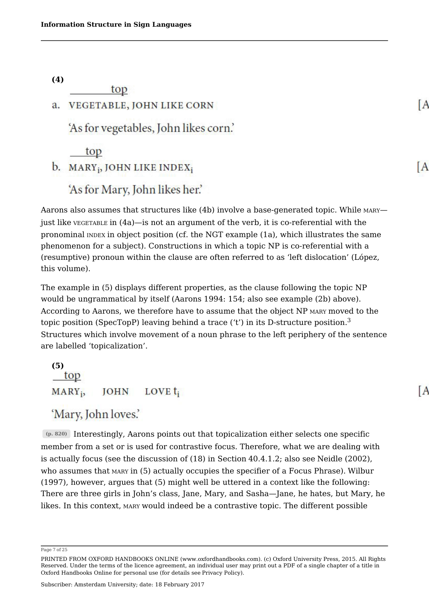**(4)** top a. VEGETABLE, JOHN LIKE CORN 'As for vegetables, John likes corn.' top b. MARY<sub>i</sub>, JOHN LIKE INDEX<sub>i</sub> 'As for Mary, John likes her.'

Aarons also assumes that structures like (4b) involve a base-generated topic. While MARY just like VEGETABLE in (4a)—is not an argument of the verb, it is co-referential with the pronominal INDEX in object position (cf. the NGT example (1a), which illustrates the same phenomenon for a subject). Constructions in which a topic NP is co-referential with a (resumptive) pronoun within the clause are often referred to as 'left dislocation' (López, this volume).

The example in (5) displays different properties, as the clause following the topic NP would be ungrammatical by itself (Aarons 1994: 154; also see example (2b) above). According to Aarons, we therefore have to assume that the object NP MARY moved to the topic position (SpecTopP) leaving behind a trace ('t') in its D-structure position. 3Structures which involve movement of a noun phrase to the left periphery of the sentence are labelled 'topicalization'.

**(5)** top  $MARY_i$ JOHN LOVE<sub>ti</sub>

'Mary, John loves.'

**(p. 820)** Interestingly, Aarons points out that topicalization either selects one specific member from a set or is used for contrastive focus. Therefore, what we are dealing with is actually focus (see the discussion of (18) in Section 40.4.1.2; also see Neidle (2002), who assumes that MARY in (5) actually occupies the specifier of a Focus Phrase). Wilbur (1997), however, argues that (5) might well be uttered in a context like the following: There are three girls in John's class, Jane, Mary, and Sasha—Jane, he hates, but Mary, he likes. In this context, MARY would indeed be a contrastive topic. The different possible

Page 7 of 25

ΙA

ſА

ſА

PRINTED FROM OXFORD HANDBOOKS ONLINE (www.oxfordhandbooks.com). (c) Oxford University Press, 2015. All Rights Reserved. Under the terms of the licence agreement, an individual user may print out a PDF of a single chapter of a title in Oxford Handbooks Online for personal use (for details see Privacy Policy).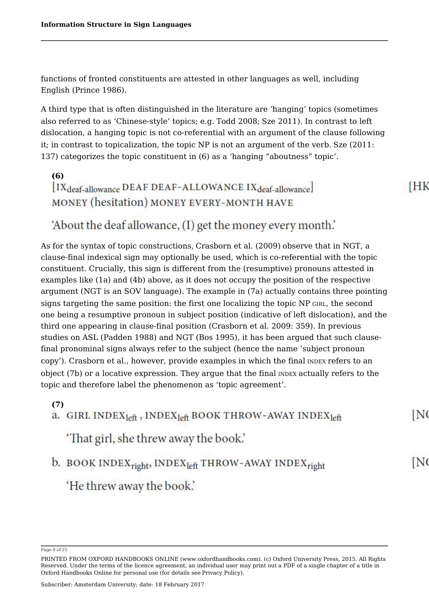functions of fronted constituents are attested in other languages as well, including English (Prince 1986).

A third type that is often distinguished in the literature are 'hanging' topics (sometimes also referred to as 'Chinese-style' topics; e.g. Todd 2008; Sze 2011). In contrast to left dislocation, a hanging topic is not co-referential with an argument of the clause following it; in contrast to topicalization, the topic NP is not an argument of the verb. Sze (2011: 137) categorizes the topic constituent in (6) as a 'hanging "aboutness" topic'.

### **(6)** [IX<sub>deaf-allowance</sub> DEAF DEAF-ALLOWANCE IX<sub>deaf-allowance</sub>] MONEY (hesitation) MONEY EVERY-MONTH HAVE

### IHK

## 'About the deaf allowance, (I) get the money every month.'

As for the syntax of topic constructions, Crasborn et al. (2009) observe that in NGT, a clause-final indexical sign may optionally be used, which is co-referential with the topic constituent. Crucially, this sign is different from the (resumptive) pronouns attested in examples like (1a) and (4b) above, as it does not occupy the position of the respective argument (NGT is an SOV language). The example in (7a) actually contains three pointing signs targeting the same position: the first one localizing the topic NP GIRL, the second one being a resumptive pronoun in subject position (indicative of left dislocation), and the third one appearing in clause-final position (Crasborn et al. 2009: 359). In previous studies on ASL (Padden 1988) and NGT (Bos 1995), it has been argued that such clausefinal pronominal signs always refer to the subject (hence the name 'subject pronoun copy'). Crasborn et al., however, provide examples in which the final INDEX refers to an object (7b) or a locative expression. They argue that the final INDEX actually refers to the topic and therefore label the phenomenon as 'topic agreement'.

| (7)                                                                                         |                |
|---------------------------------------------------------------------------------------------|----------------|
| a. GIRL INDEX <sub>left</sub> , INDEX <sub>left</sub> BOOK THROW-AWAY INDEX <sub>left</sub> |                |
| 'That girl, she threw away the book.'                                                       |                |
| b. BOOK INDEX <sub>right</sub> , INDEX <sub>left</sub> THROW-AWAY INDEX <sub>right</sub>    | N <sup>c</sup> |
| 'He threw away the book.'                                                                   |                |

Page 8 of 25

PRINTED FROM OXFORD HANDBOOKS ONLINE (www.oxfordhandbooks.com). (c) Oxford University Press, 2015. All Rights Reserved. Under the terms of the licence agreement, an individual user may print out a PDF of a single chapter of a title in Oxford Handbooks Online for personal use (for details see Privacy Policy).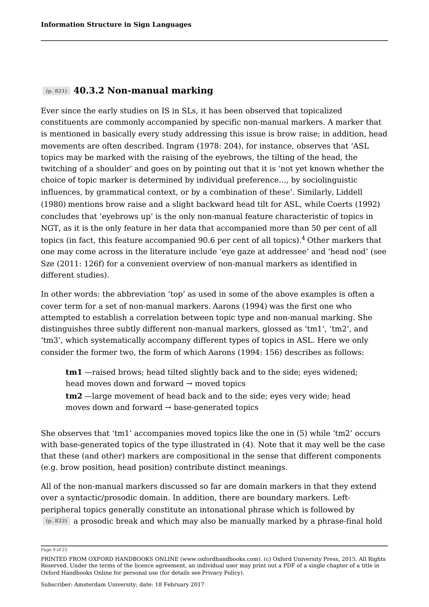#### **(p. 821) 40.3.2 Non-manual marking**

Ever since the early studies on IS in SLs, it has been observed that topicalized constituents are commonly accompanied by specific non-manual markers. A marker that is mentioned in basically every study addressing this issue is brow raise; in addition, head movements are often described. Ingram (1978: 204), for instance, observes that 'ASL topics may be marked with the raising of the eyebrows, the tilting of the head, the twitching of a shoulder' and goes on by pointing out that it is 'not yet known whether the choice of topic marker is determined by individual preference…, by sociolinguistic influences, by grammatical context, or by a combination of these'. Similarly, Liddell (1980) mentions brow raise and a slight backward head tilt for ASL, while Coerts (1992) concludes that 'eyebrows up' is the only non-manual feature characteristic of topics in NGT, as it is the only feature in her data that accompanied more than 50 per cent of all topics (in fact, this feature accompanied 90.6 per cent of all topics). $^4$  Other markers that one may come across in the literature include 'eye gaze at addressee' and 'head nod' (see Sze (2011: 126f) for a convenient overview of non-manual markers as identified in different studies).

In other words: the abbreviation 'top' as used in some of the above examples is often a cover term for a set of non-manual markers. Aarons (1994) was the first one who attempted to establish a correlation between topic type and non-manual marking. She distinguishes three subtly different non-manual markers, glossed as 'tm1', 'tm2', and 'tm3', which systematically accompany different types of topics in ASL. Here we only consider the former two, the form of which Aarons (1994: 156) describes as follows:

**tm1** —raised brows; head tilted slightly back and to the side; eyes widened; head moves down and forward  $\rightarrow$  moved topics **tm2** —large movement of head back and to the side; eyes very wide; head

moves down and forward  $\rightarrow$  base-generated topics

She observes that 'tm1' accompanies moved topics like the one in (5) while 'tm2' occurs with base-generated topics of the type illustrated in (4). Note that it may well be the case that these (and other) markers are compositional in the sense that different components (e.g. brow position, head position) contribute distinct meanings.

All of the non-manual markers discussed so far are domain markers in that they extend over a syntactic/prosodic domain. In addition, there are boundary markers. Leftperipheral topics generally constitute an intonational phrase which is followed by **(p. 822)** a prosodic break and which may also be manually marked by a phrase-final hold

Page 9 of 25

PRINTED FROM OXFORD HANDBOOKS ONLINE (www.oxfordhandbooks.com). (c) Oxford University Press, 2015. All Rights Reserved. Under the terms of the licence agreement, an individual user may print out a PDF of a single chapter of a title in Oxford Handbooks Online for personal use (for details see Privacy Policy).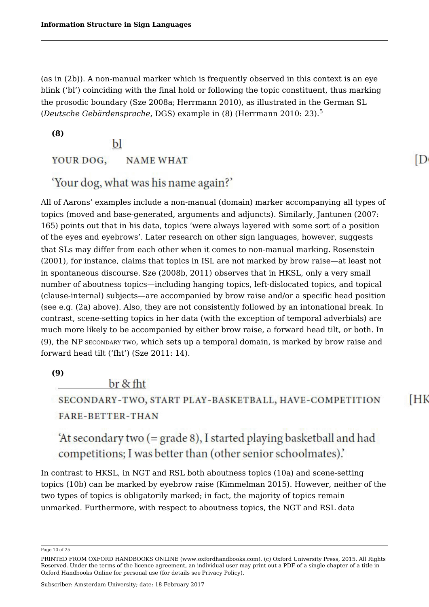(as in (2b)). A non-manual marker which is frequently observed in this context is an eye blink ('bl') coinciding with the final hold or following the topic constituent, thus marking the prosodic boundary (Sze 2008a; Herrmann 2010), as illustrated in the German SL (*Deutsche Gebärdensprache*, DGS) example in (8) (Herrmann 2010: 23). 5

**(8)**

### bl

YOUR DOG, NAME WHAT

## 'Your dog, what was his name again?'

All of Aarons' examples include a non-manual (domain) marker accompanying all types of topics (moved and base-generated, arguments and adjuncts). Similarly, Jantunen (2007: 165) points out that in his data, topics 'were always layered with some sort of a position of the eyes and eyebrows'. Later research on other sign languages, however, suggests that SLs may differ from each other when it comes to non-manual marking. Rosenstein (2001), for instance, claims that topics in ISL are not marked by brow raise—at least not in spontaneous discourse. Sze (2008b, 2011) observes that in HKSL, only a very small number of aboutness topics—including hanging topics, left-dislocated topics, and topical (clause-internal) subjects—are accompanied by brow raise and/or a specific head position (see e.g. (2a) above). Also, they are not consistently followed by an intonational break. In contrast, scene-setting topics in her data (with the exception of temporal adverbials) are much more likely to be accompanied by either brow raise, a forward head tilt, or both. In (9), the NP SECONDARY-TWO, which sets up a temporal domain, is marked by brow raise and forward head tilt ('fht') (Sze 2011: 14).

**(9)**

### $\frac{b}{x}$  fht

SECONDARY-TWO, START PLAY-BASKETBALL, HAVE-COMPETITION **FARE-BETTER-THAN** 

'At secondary two (= grade 8), I started playing basketball and had competitions; I was better than (other senior schoolmates).

In contrast to HKSL, in NGT and RSL both aboutness topics (10a) and scene-setting topics (10b) can be marked by eyebrow raise (Kimmelman 2015). However, neither of the two types of topics is obligatorily marked; in fact, the majority of topics remain unmarked. Furthermore, with respect to aboutness topics, the NGT and RSL data

Page 10 of 25

**IHK** 

ID

PRINTED FROM OXFORD HANDBOOKS ONLINE (www.oxfordhandbooks.com). (c) Oxford University Press, 2015. All Rights Reserved. Under the terms of the licence agreement, an individual user may print out a PDF of a single chapter of a title in Oxford Handbooks Online for personal use (for details see Privacy Policy).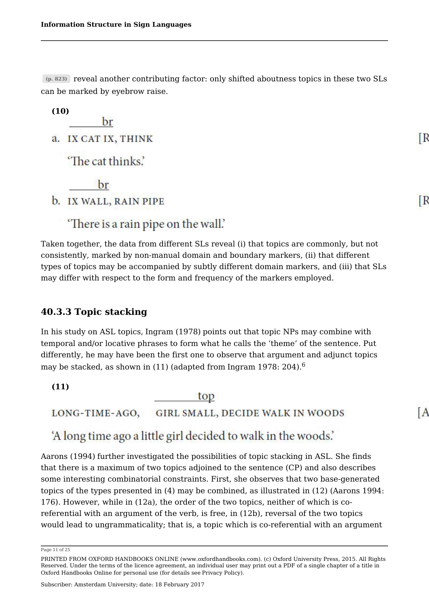**(p. 823)** reveal another contributing factor: only shifted aboutness topics in these two SLs can be marked by eyebrow raise.

ſR

IR

I A

**(10)** br a. IX CAT IX, THINK "The cat thinks." **br** b. IX WALL, RAIN PIPE

### 'There is a rain pipe on the wall.'

Taken together, the data from different SLs reveal (i) that topics are commonly, but not consistently, marked by non-manual domain and boundary markers, (ii) that different types of topics may be accompanied by subtly different domain markers, and (iii) that SLs may differ with respect to the form and frequency of the markers employed.

#### **40.3.3 Topic stacking**

In his study on ASL topics, Ingram (1978) points out that topic NPs may combine with temporal and/or locative phrases to form what he calls the 'theme' of the sentence. Put differently, he may have been the first one to observe that argument and adjunct topics may be stacked, as shown in (11) (adapted from Ingram 1978: 204). $^6\,$ 

**(11)**

LONG-TIME-AGO, GIRL SMALL, DECIDE WALK IN WOODS

top

## 'A long time ago a little girl decided to walk in the woods.'

Aarons (1994) further investigated the possibilities of topic stacking in ASL. She finds that there is a maximum of two topics adjoined to the sentence (CP) and also describes some interesting combinatorial constraints. First, she observes that two base-generated topics of the types presented in (4) may be combined, as illustrated in (12) (Aarons 1994: 176). However, while in (12a), the order of the two topics, neither of which is coreferential with an argument of the verb, is free, in (12b), reversal of the two topics would lead to ungrammaticality; that is, a topic which is co-referential with an argument

Page 11 of 25

PRINTED FROM OXFORD HANDBOOKS ONLINE (www.oxfordhandbooks.com). (c) Oxford University Press, 2015. All Rights Reserved. Under the terms of the licence agreement, an individual user may print out a PDF of a single chapter of a title in Oxford Handbooks Online for personal use (for details see Privacy Policy).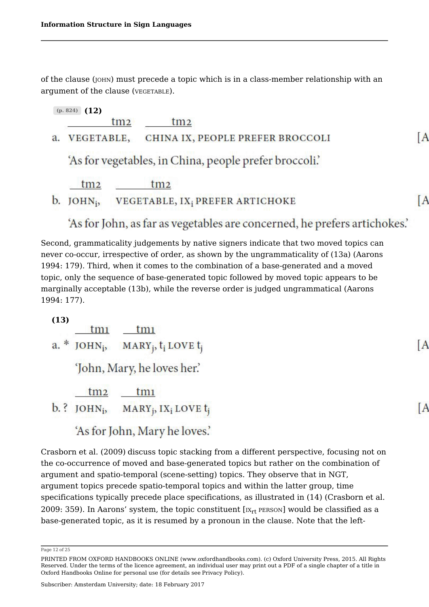of the clause (JOHN) must precede a topic which is in a class-member relationship with an argument of the clause (VEGETABLE).

|                | $(p. 824)$ (12) |                                                                                                                                                                                                                                                                                                                             |   |
|----------------|-----------------|-----------------------------------------------------------------------------------------------------------------------------------------------------------------------------------------------------------------------------------------------------------------------------------------------------------------------------|---|
|                | tm2             | tm <sub>2</sub>                                                                                                                                                                                                                                                                                                             |   |
| a.             | VEGETABLE,      | CHINA IX, PEOPLE PREFER BROCCOLI                                                                                                                                                                                                                                                                                            | A |
|                |                 | 'As for vegetables, in China, people prefer broccoli.'                                                                                                                                                                                                                                                                      |   |
|                | tm2             | tm2                                                                                                                                                                                                                                                                                                                         |   |
| $\mathbf{b}$ . | $JOHN_i$        | VEGETABLE, IX; PREFER ARTICHOKE                                                                                                                                                                                                                                                                                             | A |
|                |                 | The company was an experimental transformation of the contract measurement and company and the accompany and construction of an experimental and accompany of the company of the company of the company of the company of the<br>and the commencement series with the series were considered in the series of the series of |   |

'As for John, as far as vegetables are concerned, he prefers artichokes.'

ſА

**IA** 

Second, grammaticality judgements by native signers indicate that two moved topics can never co-occur, irrespective of order, as shown by the ungrammaticality of (13a) (Aarons 1994: 179). Third, when it comes to the combination of a base-generated and a moved topic, only the sequence of base-generated topic followed by moved topic appears to be marginally acceptable (13b), while the reverse order is judged ungrammatical (Aarons 1994: 177).

**(13)** a. \* JOHN<sub>i</sub>, MARY<sub>i</sub>, t<sub>i</sub> LOVE t<sub>i</sub> 'John, Mary, he loves her.'  $tm2$   $tm1$ b.? JOHN<sub>i</sub>, MARY<sub>i</sub>, IX<sub>i</sub> LOVE  $t_i$ 

'As for John, Mary he loves.'

Crasborn et al. (2009) discuss topic stacking from a different perspective, focusing not on the co-occurrence of moved and base-generated topics but rather on the combination of argument and spatio-temporal (scene-setting) topics. They observe that in NGT, argument topics precede spatio-temporal topics and within the latter group, time specifications typically precede place specifications, as illustrated in (14) (Crasborn et al. 2009: 359). In Aarons' system, the topic constituent [ $\rm{ix}_{rt}$  <code>person]</code> would be classified as a base-generated topic, as it is resumed by a pronoun in the clause. Note that the left-

Page 12 of 25

PRINTED FROM OXFORD HANDBOOKS ONLINE (www.oxfordhandbooks.com). (c) Oxford University Press, 2015. All Rights Reserved. Under the terms of the licence agreement, an individual user may print out a PDF of a single chapter of a title in Oxford Handbooks Online for personal use (for details see Privacy Policy).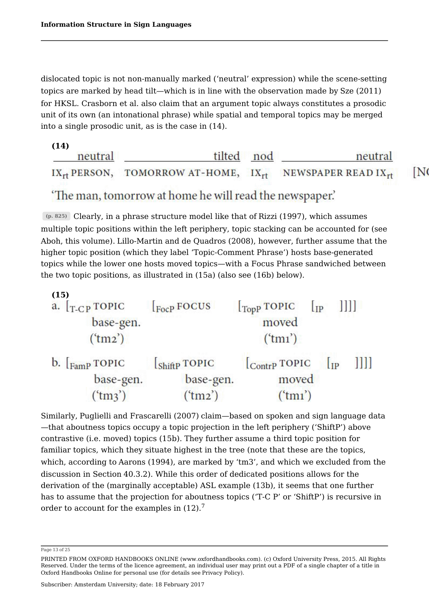dislocated topic is not non-manually marked ('neutral' expression) while the scene-setting topics are marked by head tilt—which is in line with the observation made by Sze (2011) for HKSL. Crasborn et al. also claim that an argument topic always constitutes a prosodic unit of its own (an intonational phrase) while spatial and temporal topics may be merged into a single prosodic unit, as is the case in (14).

| (14)    |                                                                        |         |    |
|---------|------------------------------------------------------------------------|---------|----|
| neutral | tilted nod                                                             | neutral |    |
|         | $IX_{rt}$ PERSON, TOMORROW AT-HOME, $IX_{rt}$ NEWSPAPER READ $IX_{rt}$ |         | [N |
|         | "The man, tomorrow at home he will read the newspaper."                |         |    |

**(p. 825)** Clearly, in a phrase structure model like that of Rizzi (1997), which assumes multiple topic positions within the left periphery, topic stacking can be accounted for (see Aboh, this volume). Lillo-Martin and de Quadros (2008), however, further assume that the higher topic position (which they label 'Topic-Comment Phrase') hosts base-generated topics while the lower one hosts moved topics—with a Focus Phrase sandwiched between the two topic positions, as illustrated in (15a) (also see (16b) below).

| (15)<br>a. $T_{C}P$ TOPIC<br>base-gen.<br>('tm2')           | <b>LFocp FOCUS</b><br>$\Gamma_{\text{TopP}}$ TOPIC<br>$\mathbf{L}$<br>moved<br>('tm1') |                                           |              |   |
|-------------------------------------------------------------|----------------------------------------------------------------------------------------|-------------------------------------------|--------------|---|
| $b.$ $\left[$ <sub>FamP</sub> TOPIC<br>base-gen.<br>('tm3') | Shiftp TOPIC<br>base-gen.<br>('tm2')                                                   | $_{\rm Contrp}$ TOPIC<br>moved<br>('tm1') | $\mathbf{I}$ | Ш |

Similarly, Puglielli and Frascarelli (2007) claim—based on spoken and sign language data —that aboutness topics occupy a topic projection in the left periphery ('ShiftP') above contrastive (i.e. moved) topics (15b). They further assume a third topic position for familiar topics, which they situate highest in the tree (note that these are the topics, which, according to Aarons (1994), are marked by 'tm3', and which we excluded from the discussion in Section 40.3.2). While this order of dedicated positions allows for the derivation of the (marginally acceptable) ASL example (13b), it seems that one further has to assume that the projection for aboutness topics ('T-C P' or 'ShiftP') is recursive in order to account for the examples in  $(12)$ .<sup>7</sup>

Page 13 of 25

PRINTED FROM OXFORD HANDBOOKS ONLINE (www.oxfordhandbooks.com). (c) Oxford University Press, 2015. All Rights Reserved. Under the terms of the licence agreement, an individual user may print out a PDF of a single chapter of a title in Oxford Handbooks Online for personal use (for details see Privacy Policy).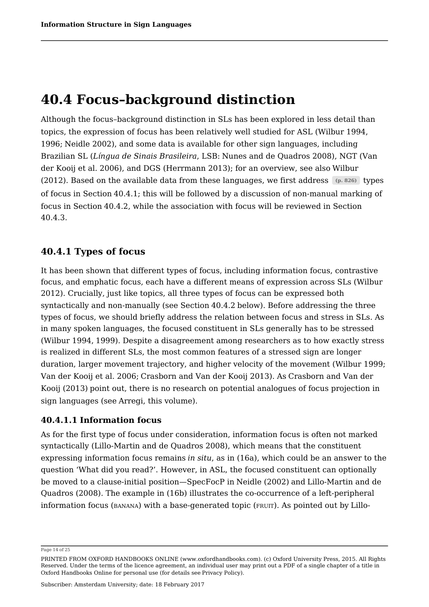# **40.4 Focus–background distinction**

Although the focus–background distinction in SLs has been explored in less detail than topics, the expression of focus has been relatively well studied for ASL (Wilbur 1994, 1996; Neidle 2002), and some data is available for other sign languages, including Brazilian SL (*Língua de Sinais Brasileira*, LSB: Nunes and de Quadros 2008), NGT (Van der Kooij et al. 2006), and DGS (Herrmann 2013); for an overview, see also Wilbur (2012). Based on the available data from these languages, we first address **(p. 826)** types of focus in Section 40.4.1; this will be followed by a discussion of non-manual marking of focus in Section 40.4.2, while the association with focus will be reviewed in Section 40.4.3.

### **40.4.1 Types of focus**

It has been shown that different types of focus, including information focus, contrastive focus, and emphatic focus, each have a different means of expression across SLs (Wilbur 2012). Crucially, just like topics, all three types of focus can be expressed both syntactically and non-manually (see Section 40.4.2 below). Before addressing the three types of focus, we should briefly address the relation between focus and stress in SLs. As in many spoken languages, the focused constituent in SLs generally has to be stressed (Wilbur 1994, 1999). Despite a disagreement among researchers as to how exactly stress is realized in different SLs, the most common features of a stressed sign are longer duration, larger movement trajectory, and higher velocity of the movement (Wilbur 1999; Van der Kooij et al. 2006; Crasborn and Van der Kooij 2013). As Crasborn and Van der Kooij (2013) point out, there is no research on potential analogues of focus projection in sign languages (see Arregi, this volume).

#### **40.4.1.1 Information focus**

As for the first type of focus under consideration, information focus is often not marked syntactically (Lillo-Martin and de Quadros 2008), which means that the constituent expressing information focus remains *in situ*, as in (16a), which could be an answer to the question 'What did you read?'. However, in ASL, the focused constituent can optionally be moved to a clause-initial position—SpecFocP in Neidle (2002) and Lillo-Martin and de Quadros (2008). The example in (16b) illustrates the co-occurrence of a left-peripheral information focus (BANANA) with a base-generated topic (FRUIT). As pointed out by Lillo-

Page 14 of 25

PRINTED FROM OXFORD HANDBOOKS ONLINE (www.oxfordhandbooks.com). (c) Oxford University Press, 2015. All Rights Reserved. Under the terms of the licence agreement, an individual user may print out a PDF of a single chapter of a title in Oxford Handbooks Online for personal use (for details see Privacy Policy).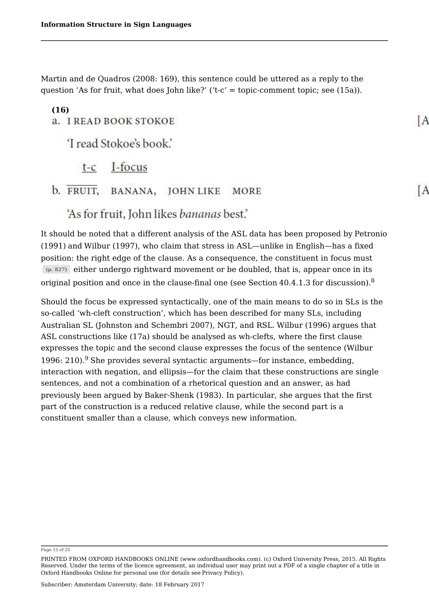Martin and de Quadros (2008: 169), this sentence could be uttered as a reply to the question 'As for fruit, what does John like?' ('t-c' = topic-comment topic; see (15a)).

#### **(16)** a. I READ BOOK STOKOE

'I read Stokoe's book.'

t-c I-focus

#### b. FRUIT, BANANA, JOHN LIKE **MORE**

'As for fruit, John likes bananas best.'

It should be noted that a different analysis of the ASL data has been proposed by Petronio (1991) and Wilbur (1997), who claim that stress in ASL—unlike in English—has a fixed position: the right edge of the clause. As a consequence, the constituent in focus must **(p. 827)** either undergo rightward movement or be doubled, that is, appear once in its original position and once in the clause-final one (see Section 40.4.1.3 for discussion).<sup>8</sup> 8

Should the focus be expressed syntactically, one of the main means to do so in SLs is the so-called 'wh-cleft construction', which has been described for many SLs, including Australian SL (Johnston and Schembri 2007), NGT, and RSL. Wilbur (1996) argues that ASL constructions like (17a) should be analysed as wh-clefts, where the first clause expresses the topic and the second clause expresses the focus of the sentence (Wilbur 1996: 210). $^9$  She provides several syntactic arguments—for instance, embedding, interaction with negation, and ellipsis—for the claim that these constructions are single sentences, and not a combination of a rhetorical question and an answer, as had previously been argued by Baker-Shenk (1983). In particular, she argues that the first part of the construction is a reduced relative clause, while the second part is a constituent smaller than a clause, which conveys new information.

#### Page 15 of 25

I A

**IA** 

PRINTED FROM OXFORD HANDBOOKS ONLINE (www.oxfordhandbooks.com). (c) Oxford University Press, 2015. All Rights Reserved. Under the terms of the licence agreement, an individual user may print out a PDF of a single chapter of a title in Oxford Handbooks Online for personal use (for details see Privacy Policy).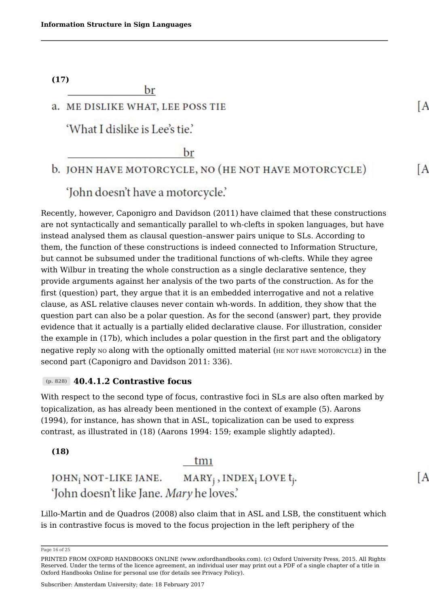**(17)**

### a. ME DISLIKE WHAT, LEE POSS TIE

br

'What I dislike is Lee's tie.'

br

## b. JOHN HAVE MOTORCYCLE, NO (HE NOT HAVE MOTORCYCLE)

ÍА

IА

ſ A

'John doesn't have a motorcycle.'

Recently, however, Caponigro and Davidson (2011) have claimed that these constructions are not syntactically and semantically parallel to wh-clefts in spoken languages, but have instead analysed them as clausal question–answer pairs unique to SLs. According to them, the function of these constructions is indeed connected to Information Structure, but cannot be subsumed under the traditional functions of wh-clefts. While they agree with Wilbur in treating the whole construction as a single declarative sentence, they provide arguments against her analysis of the two parts of the construction. As for the first (question) part, they argue that it is an embedded interrogative and not a relative clause, as ASL relative clauses never contain wh-words. In addition, they show that the question part can also be a polar question. As for the second (answer) part, they provide evidence that it actually is a partially elided declarative clause. For illustration, consider the example in (17b), which includes a polar question in the first part and the obligatory negative reply NO along with the optionally omitted material (HE NOT HAVE MOTORCYCLE) in the second part (Caponigro and Davidson 2011: 336).

#### **(p. 828) 40.4.1.2 Contrastive focus**

With respect to the second type of focus, contrastive foci in SLs are also often marked by topicalization, as has already been mentioned in the context of example (5). Aarons (1994), for instance, has shown that in ASL, topicalization can be used to express contrast, as illustrated in (18) (Aarons 1994: 159; example slightly adapted).

**(18)**

#### $tm1$

JOHN<sub>i</sub> NOT-LIKE JANE. MARY<sub>j</sub>, INDEX<sub>i</sub> LOVE  $t_j$ . 'John doesn't like Jane. Mary he loves.'

Lillo-Martin and de Quadros (2008) also claim that in ASL and LSB, the constituent which is in contrastive focus is moved to the focus projection in the left periphery of the

Page 16 of 25

PRINTED FROM OXFORD HANDBOOKS ONLINE (www.oxfordhandbooks.com). (c) Oxford University Press, 2015. All Rights Reserved. Under the terms of the licence agreement, an individual user may print out a PDF of a single chapter of a title in Oxford Handbooks Online for personal use (for details see Privacy Policy).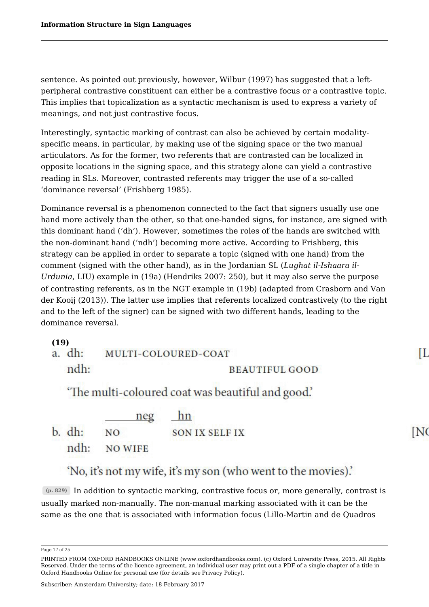sentence. As pointed out previously, however, Wilbur (1997) has suggested that a leftperipheral contrastive constituent can either be a contrastive focus or a contrastive topic. This implies that topicalization as a syntactic mechanism is used to express a variety of meanings, and not just contrastive focus.

Interestingly, syntactic marking of contrast can also be achieved by certain modalityspecific means, in particular, by making use of the signing space or the two manual articulators. As for the former, two referents that are contrasted can be localized in opposite locations in the signing space, and this strategy alone can yield a contrastive reading in SLs. Moreover, contrasted referents may trigger the use of a so-called 'dominance reversal' (Frishberg 1985).

Dominance reversal is a phenomenon connected to the fact that signers usually use one hand more actively than the other, so that one-handed signs, for instance, are signed with this dominant hand ('dh'). However, sometimes the roles of the hands are switched with the non-dominant hand ('ndh') becoming more active. According to Frishberg, this strategy can be applied in order to separate a topic (signed with one hand) from the comment (signed with the other hand), as in the Jordanian SL (*Lughat il-Ishaara il-Urdunia*, LIU) example in (19a) (Hendriks 2007: 250), but it may also serve the purpose of contrasting referents, as in the NGT example in (19b) (adapted from Crasborn and Van der Kooij (2013)). The latter use implies that referents localized contrastively (to the right and to the left of the signer) can be signed with two different hands, leading to the dominance reversal.

ſI.

[N

**(19)**

 $a.$  dh: MULTI-COLOURED-COAT  $ndh:$ **BEAUTIFUL GOOD** 

'The multi-coloured coat was beautiful and good.'

neg  $b. dh:$ **NO**  $ndh:$ **NO WIFE** 

hn SON IX SELF IX

'No, it's not my wife, it's my son (who went to the movies).'

**(p. 829)** In addition to syntactic marking, contrastive focus or, more generally, contrast is usually marked non-manually. The non-manual marking associated with it can be the same as the one that is associated with information focus (Lillo-Martin and de Quadros

Page 17 of 25

PRINTED FROM OXFORD HANDBOOKS ONLINE (www.oxfordhandbooks.com). (c) Oxford University Press, 2015. All Rights Reserved. Under the terms of the licence agreement, an individual user may print out a PDF of a single chapter of a title in Oxford Handbooks Online for personal use (for details see Privacy Policy).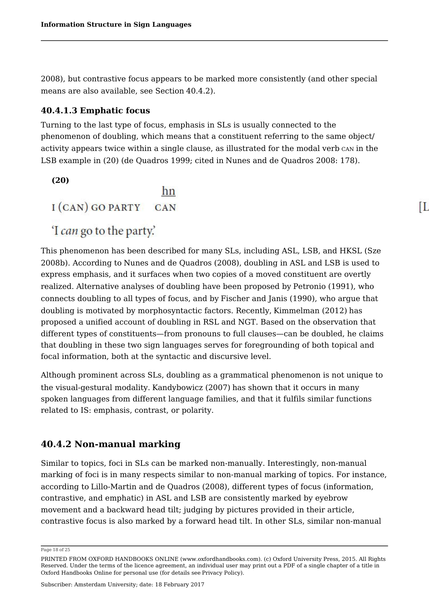2008), but contrastive focus appears to be marked more consistently (and other special means are also available, see Section 40.4.2).

#### **40.4.1.3 Emphatic focus**

Turning to the last type of focus, emphasis in SLs is usually connected to the phenomenon of doubling, which means that a constituent referring to the same object/ activity appears twice within a single clause, as illustrated for the modal verb CAN in the LSB example in (20) (de Quadros 1999; cited in Nunes and de Quadros 2008: 178).

П

## **(20)** hn I (CAN) GO PARTY CAN 'I can go to the party'.

This phenomenon has been described for many SLs, including ASL, LSB, and HKSL (Sze 2008b). According to Nunes and de Quadros (2008), doubling in ASL and LSB is used to express emphasis, and it surfaces when two copies of a moved constituent are overtly realized. Alternative analyses of doubling have been proposed by Petronio (1991), who connects doubling to all types of focus, and by Fischer and Janis (1990), who argue that doubling is motivated by morphosyntactic factors. Recently, Kimmelman (2012) has proposed a unified account of doubling in RSL and NGT. Based on the observation that different types of constituents—from pronouns to full clauses—can be doubled, he claims that doubling in these two sign languages serves for foregrounding of both topical and focal information, both at the syntactic and discursive level.

Although prominent across SLs, doubling as a grammatical phenomenon is not unique to the visual-gestural modality. Kandybowicz (2007) has shown that it occurs in many spoken languages from different language families, and that it fulfils similar functions related to IS: emphasis, contrast, or polarity.

### **40.4.2 Non-manual marking**

Similar to topics, foci in SLs can be marked non-manually. Interestingly, non-manual marking of foci is in many respects similar to non-manual marking of topics. For instance, according to Lillo-Martin and de Quadros (2008), different types of focus (information, contrastive, and emphatic) in ASL and LSB are consistently marked by eyebrow movement and a backward head tilt; judging by pictures provided in their article, contrastive focus is also marked by a forward head tilt. In other SLs, similar non-manual

Page 18 of 25

PRINTED FROM OXFORD HANDBOOKS ONLINE (www.oxfordhandbooks.com). (c) Oxford University Press, 2015. All Rights Reserved. Under the terms of the licence agreement, an individual user may print out a PDF of a single chapter of a title in Oxford Handbooks Online for personal use (for details see Privacy Policy).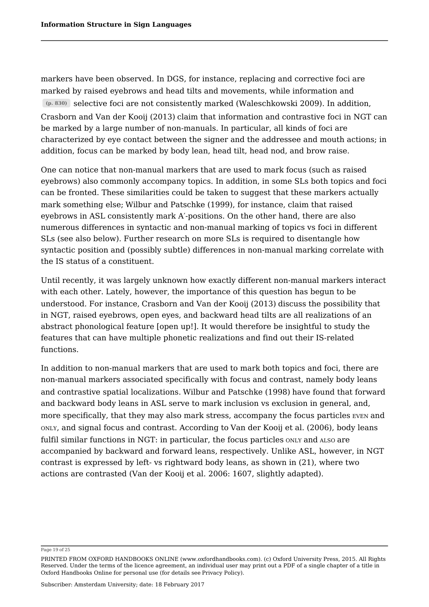markers have been observed. In DGS, for instance, replacing and corrective foci are marked by raised eyebrows and head tilts and movements, while information and **(p. 830)** selective foci are not consistently marked (Waleschkowski 2009). In addition, Crasborn and Van der Kooij (2013) claim that information and contrastive foci in NGT can be marked by a large number of non-manuals. In particular, all kinds of foci are characterized by eye contact between the signer and the addressee and mouth actions; in addition, focus can be marked by body lean, head tilt, head nod, and brow raise.

One can notice that non-manual markers that are used to mark focus (such as raised eyebrows) also commonly accompany topics. In addition, in some SLs both topics and foci can be fronted. These similarities could be taken to suggest that these markers actually mark something else; Wilbur and Patschke (1999), for instance, claim that raised eyebrows in ASL consistently mark A′-positions. On the other hand, there are also numerous differences in syntactic and non-manual marking of topics vs foci in different SLs (see also below). Further research on more SLs is required to disentangle how syntactic position and (possibly subtle) differences in non-manual marking correlate with the IS status of a constituent.

Until recently, it was largely unknown how exactly different non-manual markers interact with each other. Lately, however, the importance of this question has begun to be understood. For instance, Crasborn and Van der Kooij (2013) discuss the possibility that in NGT, raised eyebrows, open eyes, and backward head tilts are all realizations of an abstract phonological feature [open up!]. It would therefore be insightful to study the features that can have multiple phonetic realizations and find out their IS-related functions.

In addition to non-manual markers that are used to mark both topics and foci, there are non-manual markers associated specifically with focus and contrast, namely body leans and contrastive spatial localizations. Wilbur and Patschke (1998) have found that forward and backward body leans in ASL serve to mark inclusion vs exclusion in general, and, more specifically, that they may also mark stress, accompany the focus particles EVEN and ONLY, and signal focus and contrast. According to Van der Kooij et al. (2006), body leans fulfil similar functions in NGT: in particular, the focus particles  $ONLY$  and ALSO are accompanied by backward and forward leans, respectively. Unlike ASL, however, in NGT contrast is expressed by left- vs rightward body leans, as shown in (21), where two actions are contrasted (Van der Kooij et al. 2006: 1607, slightly adapted).

Page 19 of 25

PRINTED FROM OXFORD HANDBOOKS ONLINE (www.oxfordhandbooks.com). (c) Oxford University Press, 2015. All Rights Reserved. Under the terms of the licence agreement, an individual user may print out a PDF of a single chapter of a title in Oxford Handbooks Online for personal use (for details see Privacy Policy).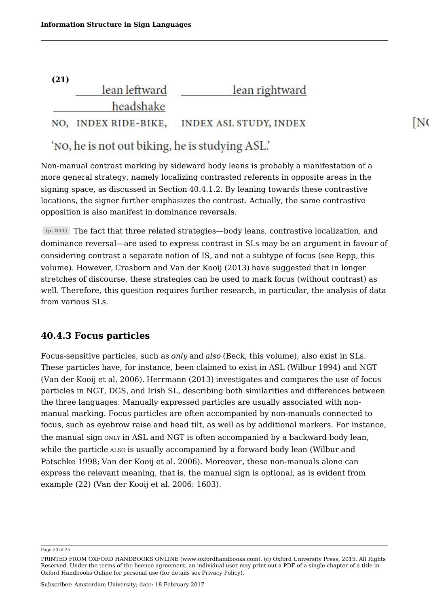# **(21)** lean rightward headshake NO, INDEX RIDE-BIKE, INDEX ASL STUDY, INDEX

## 'NO, he is not out biking, he is studying ASL.'

Non-manual contrast marking by sideward body leans is probably a manifestation of a more general strategy, namely localizing contrasted referents in opposite areas in the signing space, as discussed in Section 40.4.1.2. By leaning towards these contrastive locations, the signer further emphasizes the contrast. Actually, the same contrastive opposition is also manifest in dominance reversals.

[N

**(p. 831)** The fact that three related strategies—body leans, contrastive localization, and dominance reversal—are used to express contrast in SLs may be an argument in favour of considering contrast a separate notion of IS, and not a subtype of focus (see Repp, this volume). However, Crasborn and Van der Kooij (2013) have suggested that in longer stretches of discourse, these strategies can be used to mark focus (without contrast) as well. Therefore, this question requires further research, in particular, the analysis of data from various SLs.

#### **40.4.3 Focus particles**

Focus-sensitive particles, such as *only* and *also* (Beck, this volume), also exist in SLs. These particles have, for instance, been claimed to exist in ASL (Wilbur 1994) and NGT (Van der Kooij et al. 2006). Herrmann (2013) investigates and compares the use of focus particles in NGT, DGS, and Irish SL, describing both similarities and differences between the three languages. Manually expressed particles are usually associated with nonmanual marking. Focus particles are often accompanied by non-manuals connected to focus, such as eyebrow raise and head tilt, as well as by additional markers. For instance, the manual sign ONLY in ASL and NGT is often accompanied by a backward body lean, while the particle ALSO is usually accompanied by a forward body lean (Wilbur and Patschke 1998; Van der Kooij et al. 2006). Moreover, these non-manuals alone can express the relevant meaning, that is, the manual sign is optional, as is evident from example (22) (Van der Kooij et al. 2006: 1603).

Page 20 of 25

PRINTED FROM OXFORD HANDBOOKS ONLINE (www.oxfordhandbooks.com). (c) Oxford University Press, 2015. All Rights Reserved. Under the terms of the licence agreement, an individual user may print out a PDF of a single chapter of a title in Oxford Handbooks Online for personal use (for details see Privacy Policy).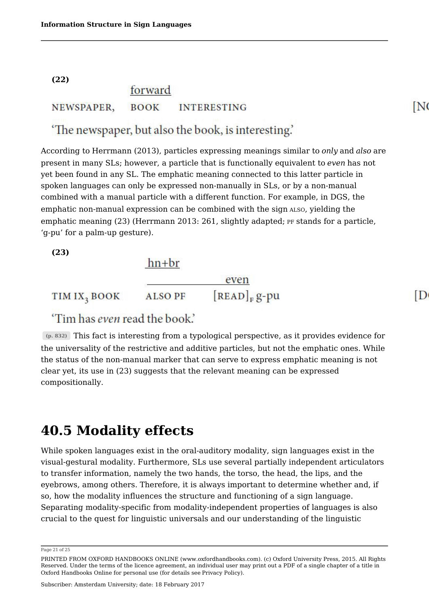**(22)**

#### forward NEWSPAPER, **BOOK INTERESTING**

**IN** 

ID

# 'The newspaper, but also the book, is interesting.'

According to Herrmann (2013), particles expressing meanings similar to *only* and *also* are present in many SLs; however, a particle that is functionally equivalent to *even* has not yet been found in any SL. The emphatic meaning connected to this latter particle in spoken languages can only be expressed non-manually in SLs, or by a non-manual combined with a manual particle with a different function. For example, in DGS, the emphatic non-manual expression can be combined with the sign ALSO, yielding the emphatic meaning (23) (Herrmann 2013: 261, slightly adapted; PF stands for a particle, 'g-pu' for a palm-up gesture).

**(23)**

 $hn+br$ 

|                          |         | even                       |
|--------------------------|---------|----------------------------|
| TIM IX <sub>3</sub> BOOK | ALSO PF | $[READ]$ <sub>F</sub> g-pu |

'Tim has even read the book.'

**(p. 832)** This fact is interesting from a typological perspective, as it provides evidence for the universality of the restrictive and additive particles, but not the emphatic ones. While the status of the non-manual marker that can serve to express emphatic meaning is not clear yet, its use in (23) suggests that the relevant meaning can be expressed compositionally.

# **40.5 Modality effects**

While spoken languages exist in the oral-auditory modality, sign languages exist in the visual-gestural modality. Furthermore, SLs use several partially independent articulators to transfer information, namely the two hands, the torso, the head, the lips, and the eyebrows, among others. Therefore, it is always important to determine whether and, if so, how the modality influences the structure and functioning of a sign language. Separating modality-specific from modality-independent properties of languages is also crucial to the quest for linguistic universals and our understanding of the linguistic

Page 21 of 25

PRINTED FROM OXFORD HANDBOOKS ONLINE (www.oxfordhandbooks.com). (c) Oxford University Press, 2015. All Rights Reserved. Under the terms of the licence agreement, an individual user may print out a PDF of a single chapter of a title in Oxford Handbooks Online for personal use (for details see Privacy Policy).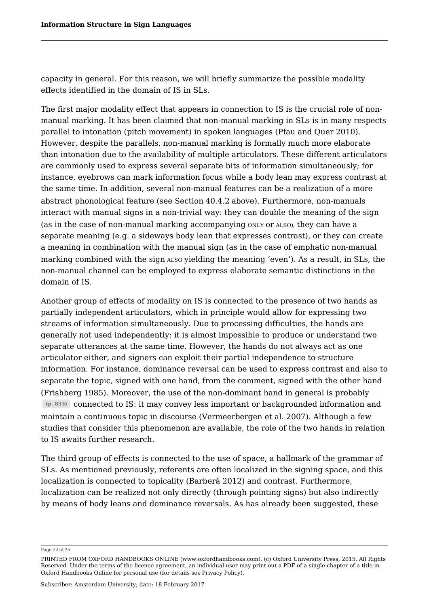capacity in general. For this reason, we will briefly summarize the possible modality effects identified in the domain of IS in SLs.

The first major modality effect that appears in connection to IS is the crucial role of nonmanual marking. It has been claimed that non-manual marking in SLs is in many respects parallel to intonation (pitch movement) in spoken languages (Pfau and Quer 2010). However, despite the parallels, non-manual marking is formally much more elaborate than intonation due to the availability of multiple articulators. These different articulators are commonly used to express several separate bits of information simultaneously; for instance, eyebrows can mark information focus while a body lean may express contrast at the same time. In addition, several non-manual features can be a realization of a more abstract phonological feature (see Section 40.4.2 above). Furthermore, non-manuals interact with manual signs in a non-trivial way: they can double the meaning of the sign (as in the case of non-manual marking accompanying ONLY or ALSO); they can have a separate meaning (e.g. a sideways body lean that expresses contrast), or they can create a meaning in combination with the manual sign (as in the case of emphatic non-manual marking combined with the sign ALSO yielding the meaning 'even'). As a result, in SLs, the non-manual channel can be employed to express elaborate semantic distinctions in the domain of IS.

Another group of effects of modality on IS is connected to the presence of two hands as partially independent articulators, which in principle would allow for expressing two streams of information simultaneously. Due to processing difficulties, the hands are generally not used independently: it is almost impossible to produce or understand two separate utterances at the same time. However, the hands do not always act as one articulator either, and signers can exploit their partial independence to structure information. For instance, dominance reversal can be used to express contrast and also to separate the topic, signed with one hand, from the comment, signed with the other hand (Frishberg 1985). Moreover, the use of the non-dominant hand in general is probably **(p. 833)** connected to IS: it may convey less important or backgrounded information and maintain a continuous topic in discourse (Vermeerbergen et al. 2007). Although a few studies that consider this phenomenon are available, the role of the two hands in relation to IS awaits further research.

The third group of effects is connected to the use of space, a hallmark of the grammar of SLs. As mentioned previously, referents are often localized in the signing space, and this localization is connected to topicality (Barberà 2012) and contrast. Furthermore, localization can be realized not only directly (through pointing signs) but also indirectly by means of body leans and dominance reversals. As has already been suggested, these

Page 22 of 25

PRINTED FROM OXFORD HANDBOOKS ONLINE (www.oxfordhandbooks.com). (c) Oxford University Press, 2015. All Rights Reserved. Under the terms of the licence agreement, an individual user may print out a PDF of a single chapter of a title in Oxford Handbooks Online for personal use (for details see Privacy Policy).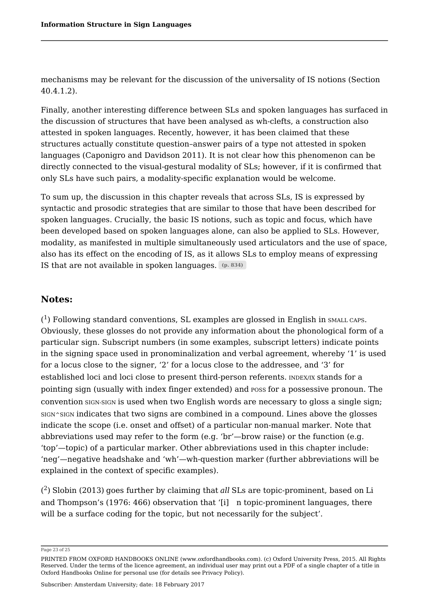mechanisms may be relevant for the discussion of the universality of IS notions (Section 40.4.1.2).

Finally, another interesting difference between SLs and spoken languages has surfaced in the discussion of structures that have been analysed as wh-clefts, a construction also attested in spoken languages. Recently, however, it has been claimed that these structures actually constitute question–answer pairs of a type not attested in spoken languages (Caponigro and Davidson 2011). It is not clear how this phenomenon can be directly connected to the visual-gestural modality of SLs; however, if it is confirmed that only SLs have such pairs, a modality-specific explanation would be welcome.

To sum up, the discussion in this chapter reveals that across SLs, IS is expressed by syntactic and prosodic strategies that are similar to those that have been described for spoken languages. Crucially, the basic IS notions, such as topic and focus, which have been developed based on spoken languages alone, can also be applied to SLs. However, modality, as manifested in multiple simultaneously used articulators and the use of space, also has its effect on the encoding of IS, as it allows SLs to employ means of expressing IS that are not available in spoken languages. **(p. 834)**

### **Notes:**

 $(^1)$  Following standard conventions, SL examples are glossed in English in  $_{\rm SMALL \; CAPS.}$ Obviously, these glosses do not provide any information about the phonological form of a particular sign. Subscript numbers (in some examples, subscript letters) indicate points in the signing space used in pronominalization and verbal agreement, whereby '1' is used for a locus close to the signer, '2' for a locus close to the addressee, and '3' for established loci and loci close to present third-person referents. INDEX/IX stands for a pointing sign (usually with index finger extended) and POSS for a possessive pronoun. The convention SIGN-SIGN is used when two English words are necessary to gloss a single sign; SIGN^SIGN indicates that two signs are combined in a compound. Lines above the glosses indicate the scope (i.e. onset and offset) of a particular non-manual marker. Note that abbreviations used may refer to the form (e.g. 'br'—brow raise) or the function (e.g. 'top'—topic) of a particular marker. Other abbreviations used in this chapter include: 'neg'—negative headshake and 'wh'—wh-question marker (further abbreviations will be explained in the context of specific examples).

 $(^2)$  Slobin (2013) goes further by claiming that *all* SLs are topic-prominent, based on Li and Thompson's (1976: 466) observation that '[i] n topic-prominent languages, there will be a surface coding for the topic, but not necessarily for the subject'.

Page 23 of 25

PRINTED FROM OXFORD HANDBOOKS ONLINE (www.oxfordhandbooks.com). (c) Oxford University Press, 2015. All Rights Reserved. Under the terms of the licence agreement, an individual user may print out a PDF of a single chapter of a title in Oxford Handbooks Online for personal use (for details see Privacy Policy).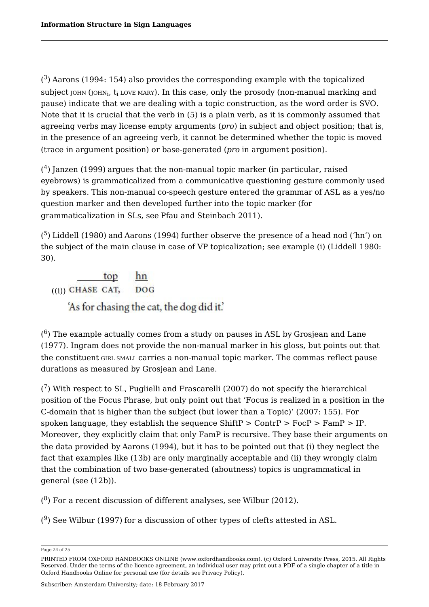$(3)$  Aarons (1994: 154) also provides the corresponding example with the topicalized  ${\rm subject}$   ${\rm \rm \,J$ он ${\rm \rm N}_{\rm \rm i}}$ ,  ${\rm \rm t}_{\rm i}$  love mary). In this case, only the prosody (non-manual marking and pause) indicate that we are dealing with a topic construction, as the word order is SVO. Note that it is crucial that the verb in (5) is a plain verb, as it is commonly assumed that agreeing verbs may license empty arguments (*pro*) in subject and object position; that is, in the presence of an agreeing verb, it cannot be determined whether the topic is moved (trace in argument position) or base-generated (*pro* in argument position).

 $( ^4)$  Janzen (1999) argues that the non-manual topic marker (in particular, raised eyebrows) is grammaticalized from a communicative questioning gesture commonly used by speakers. This non-manual co-speech gesture entered the grammar of ASL as a yes/no question marker and then developed further into the topic marker (for grammaticalization in SLs, see Pfau and Steinbach 2011).

 $(5)$  Liddell (1980) and Aarons (1994) further observe the presence of a head nod ('hn') on the subject of the main clause in case of VP topicalization; see example (i) (Liddell 1980: 30).

top  $hn$  $(i)$ ) CHASE CAT, DOG

'As for chasing the cat, the dog did it.'

 $\left(^6\right)$  The example actually comes from a study on pauses in ASL by Grosjean and Lane (1977). Ingram does not provide the non-manual marker in his gloss, but points out that the constituent GIRL SMALL carries a non-manual topic marker. The commas reflect pause durations as measured by Grosjean and Lane.

 $(7)$  With respect to SL, Puglielli and Frascarelli (2007) do not specify the hierarchical position of the Focus Phrase, but only point out that 'Focus is realized in a position in the C-domain that is higher than the subject (but lower than a Topic)' (2007: 155). For spoken language, they establish the sequence  $ShiftP > ContrP > FocP > FamP > IP$ . Moreover, they explicitly claim that only FamP is recursive. They base their arguments on the data provided by Aarons (1994), but it has to be pointed out that (i) they neglect the fact that examples like (13b) are only marginally acceptable and (ii) they wrongly claim that the combination of two base-generated (aboutness) topics is ungrammatical in general (see (12b)).

 $(8)$  For a recent discussion of different analyses, see Wilbur (2012).

 $(9)$  See Wilbur (1997) for a discussion of other types of clefts attested in ASL.

Page 24 of 25

PRINTED FROM OXFORD HANDBOOKS ONLINE (www.oxfordhandbooks.com). (c) Oxford University Press, 2015. All Rights Reserved. Under the terms of the licence agreement, an individual user may print out a PDF of a single chapter of a title in Oxford Handbooks Online for personal use (for details see Privacy Policy).

Subscriber: Amsterdam University; date: 18 February 2017